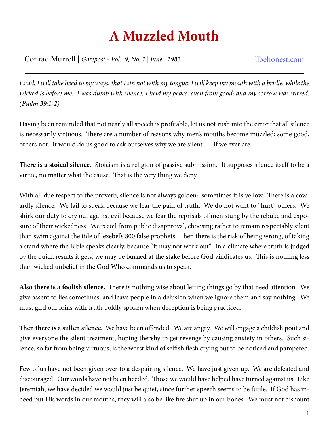## **A Muzzled Mouth**

Conrad Murrell | *Gatepost - Vol. 9, No. 2 | June, 1983* illbehonest.com

*I said, I will take heed to my ways, that I sin not with my tongue: I will keep my mouth with a bridle, while the wicked is before me. I was dumb with silence, I held my peace, even from good; and my sorrow was stirred. (Psalm 39:1-2)*

Having been reminded that not nearly all speech is profitable, let us not rush into the error that all silence is necessarily virtuous. There are a number of reasons why men's mouths become muzzled; some good, others not. It would do us good to ask ourselves why we are silent . . . if we ever are.

**There is a stoical silence.** Stoicism is a religion of passive submission. It supposes silence itself to be a virtue, no matter what the cause. That is the very thing we deny.

With all due respect to the proverb, silence is not always golden: sometimes it is yellow. There is a cowardly silence. We fail to speak because we fear the pain of truth. We do not want to "hurt" others. We shirk our duty to cry out against evil because we fear the reprisals of men stung by the rebuke and exposure of their wickedness. We recoil from public disapproval, choosing rather to remain respectably silent than swim against the tide of Jezebel's 800 false prophets. Then there is the risk of being wrong, of taking a stand where the Bible speaks clearly, because "it may not work out". In a climate where truth is judged by the quick results it gets, we may be burned at the stake before God vindicates us. This is nothing less than wicked unbelief in the God Who commands us to speak.

**Also there is a foolish silence.** There is nothing wise about letting things go by that need attention. We give assent to lies sometimes, and leave people in a delusion when we ignore them and say nothing. We must gird our loins with truth boldly spoken when deception is being practiced.

**Then there is a sullen silence.** We have been offended. We are angry. We will engage a childish pout and give everyone the silent treatment, hoping thereby to get revenge by causing anxiety in others. Such silence, so far from being virtuous, is the worst kind of selfish flesh crying out to be noticed and pampered.

Few of us have not been given over to a despairing silence. We have just given up. We are defeated and discouraged. Our words have not been heeded. Those we would have helped have turned against us. Like Jeremiah, we have decided we would just be quiet, since further speech seems to be futile. If God has indeed put His words in our mouths, they will also be like fire shut up in our bones. We must not discount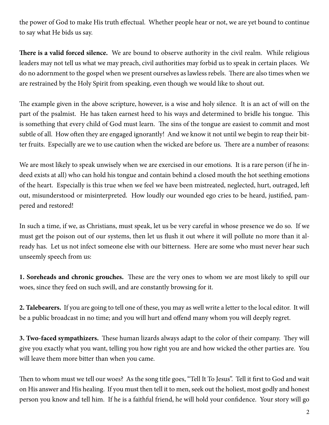the power of God to make His truth effectual. Whether people hear or not, we are yet bound to continue to say what He bids us say.

**There is a valid forced silence.** We are bound to observe authority in the civil realm. While religious leaders may not tell us what we may preach, civil authorities may forbid us to speak in certain places. We do no adornment to the gospel when we present ourselves as lawless rebels. There are also times when we are restrained by the Holy Spirit from speaking, even though we would like to shout out.

The example given in the above scripture, however, is a wise and holy silence. It is an act of will on the part of the psalmist. He has taken earnest heed to his ways and determined to bridle his tongue. This is something that every child of God must learn. The sins of the tongue are easiest to commit and most subtle of all. How often they are engaged ignorantly! And we know it not until we begin to reap their bitter fruits. Especially are we to use caution when the wicked are before us. There are a number of reasons:

We are most likely to speak unwisely when we are exercised in our emotions. It is a rare person (if he indeed exists at all) who can hold his tongue and contain behind a closed mouth the hot seething emotions of the heart. Especially is this true when we feel we have been mistreated, neglected, hurt, outraged, left out, misunderstood or misinterpreted. How loudly our wounded ego cries to be heard, justified, pampered and restored!

In such a time, if we, as Christians, must speak, let us be very careful in whose presence we do so. If we must get the poison out of our systems, then let us flush it out where it will pollute no more than it already has. Let us not infect someone else with our bitterness. Here are some who must never hear such unseemly speech from us:

**1. Soreheads and chronic grouches.** These are the very ones to whom we are most likely to spill our woes, since they feed on such swill, and are constantly browsing for it.

**2. Talebearers.** If you are going to tell one of these, you may as well write a letter to the local editor. It will be a public broadcast in no time; and you will hurt and offend many whom you will deeply regret.

**3. Two-faced sympathizers.** These human lizards always adapt to the color of their company. They will give you exactly what you want, telling you how right you are and how wicked the other parties are. You will leave them more bitter than when you came.

Then to whom must we tell our woes? As the song title goes, "Tell It To Jesus". Tell it first to God and wait on His answer and His healing. If you must then tell it to men, seek out the holiest, most godly and honest person you know and tell him. If he is a faithful friend, he will hold your confidence. Your story will go